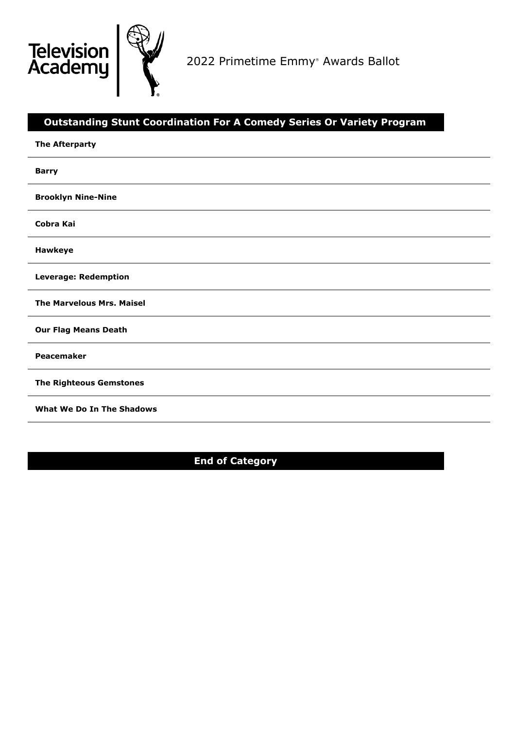

2022 Primetime Emmy ® Awards Ballot

# **Outstanding Stunt Coordination For A Comedy Series Or Variety Program**

| <b>The Afterparty</b>            |
|----------------------------------|
| <b>Barry</b>                     |
| <b>Brooklyn Nine-Nine</b>        |
| Cobra Kai                        |
| Hawkeye                          |
| <b>Leverage: Redemption</b>      |
| <b>The Marvelous Mrs. Maisel</b> |
| <b>Our Flag Means Death</b>      |
| Peacemaker                       |
| <b>The Righteous Gemstones</b>   |
| What We Do In The Shadows        |

**End of Category**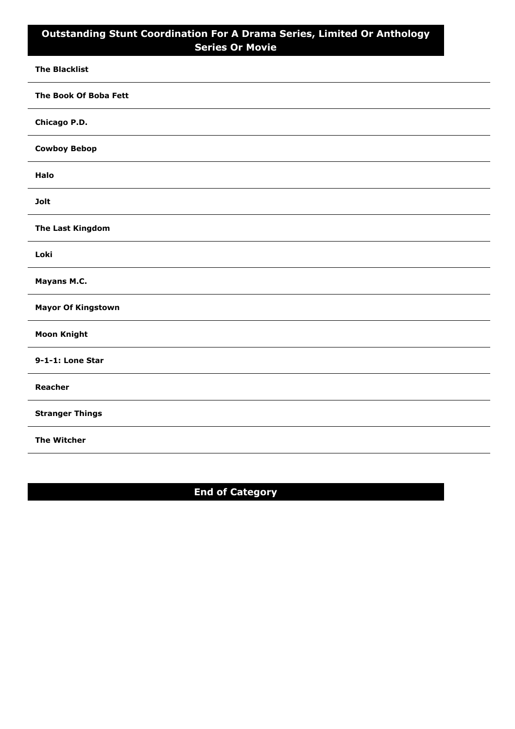## **Outstanding Stunt Coordination For A Drama Series, Limited Or Anthology Series Or Movie**

| <b>The Blacklist</b>      |
|---------------------------|
| The Book Of Boba Fett     |
| Chicago P.D.              |
| <b>Cowboy Bebop</b>       |
| Halo                      |
| <b>Jolt</b>               |
| <b>The Last Kingdom</b>   |
| Loki                      |
| Mayans M.C.               |
| <b>Mayor Of Kingstown</b> |
| <b>Moon Knight</b>        |
| 9-1-1: Lone Star          |
| Reacher                   |
| <b>Stranger Things</b>    |
| <b>The Witcher</b>        |

# **End of Category**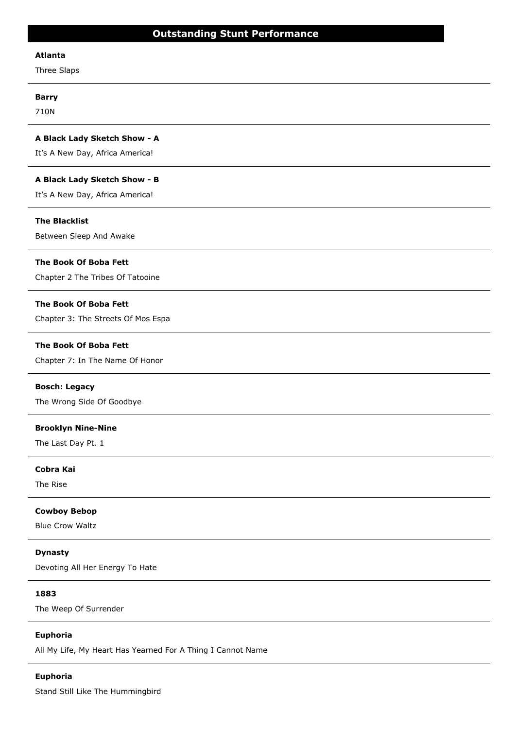#### **Atlanta**

Three Slaps

#### **Barry**

710N

#### **A Black Lady Sketch Show - A**

It's A New Day, Africa America!

#### **A Black Lady Sketch Show - B**

It's A New Day, Africa America!

#### **The Blacklist**

Between Sleep And Awake

#### **The Book Of Boba Fett**

Chapter 2 The Tribes Of Tatooine

#### **The Book Of Boba Fett**

Chapter 3: The Streets Of Mos Espa

#### **The Book Of Boba Fett**

Chapter 7: In The Name Of Honor

#### **Bosch: Legacy**

The Wrong Side Of Goodbye

#### **Brooklyn Nine-Nine**

The Last Day Pt. 1

## **Cobra Kai**

The Rise

#### **Cowboy Bebop**

Blue Crow Waltz

#### **Dynasty**

Devoting All Her Energy To Hate

## **1883**

The Weep Of Surrender

#### **Euphoria**

All My Life, My Heart Has Yearned For A Thing I Cannot Name

#### **Euphoria**

Stand Still Like The Hummingbird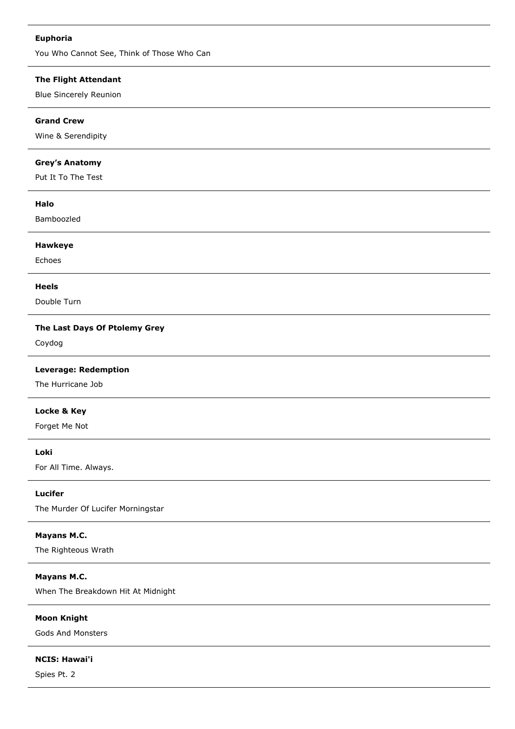#### **Euphoria**

You Who Cannot See, Think of Those Who Can

## **The Flight Attendant**

Blue Sincerely Reunion

## **Grand Crew**

Wine & Serendipity

## **Grey's Anatomy**

Put It To The Test

## **Halo**

Bamboozled

#### **Hawkeye**

Echoes

#### **Heels**

Double Turn

## **The Last Days Of Ptolemy Grey**

Coydog

## **Leverage: Redemption**

The Hurricane Job

#### **Locke & Key**

Forget Me Not

**Loki**

For All Time. Always.

#### **Lucifer**

The Murder Of Lucifer Morningstar

## **Mayans M.C.**

The Righteous Wrath

## **Mayans M.C.**

When The Breakdown Hit At Midnight

## **Moon Knight**

Gods And Monsters

## **NCIS: Hawai'i**

Spies Pt. 2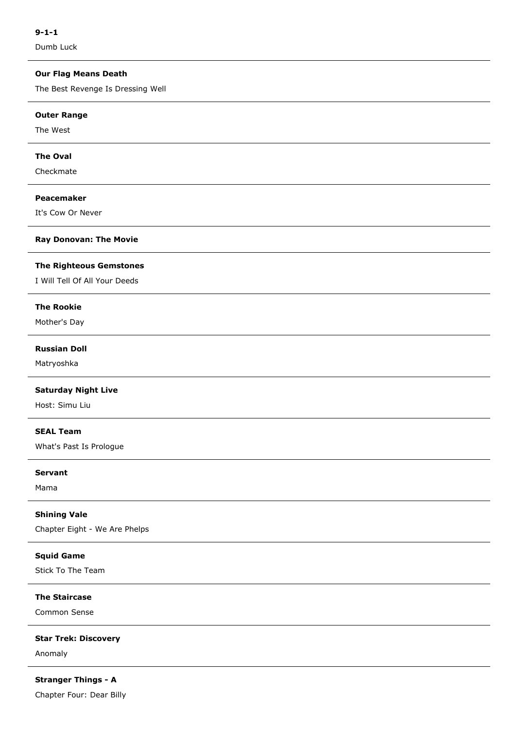Dumb Luck

## **Our Flag Means Death**

The Best Revenge Is Dressing Well

#### **Outer Range**

The West

## **The Oval**

Checkmate

#### **Peacemaker**

It's Cow Or Never

#### **Ray Donovan: The Movie**

#### **The Righteous Gemstones**

I Will Tell Of All Your Deeds

#### **The Rookie**

Mother's Day

## **Russian Doll**

Matryoshka

## **Saturday Night Live**

Host: Simu Liu

## **SEAL Team**

What's Past Is Prologue

#### **Servant**

Mama

#### **Shining Vale**

Chapter Eight - We Are Phelps

## **Squid Game**

Stick To The Team

#### **The Staircase**

Common Sense

#### **Star Trek: Discovery**

Anomaly

**Stranger Things - A**

Chapter Four: Dear Billy